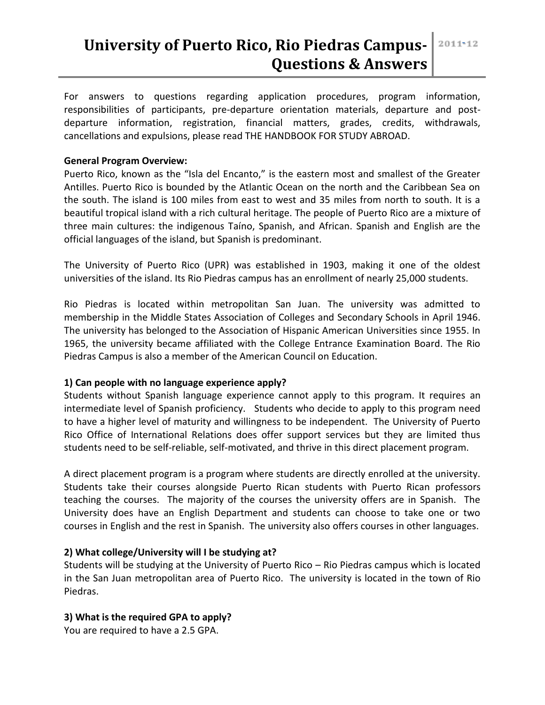For answers to questions regarding application procedures, program information, responsibilities of participants, pre-departure orientation materials, departure and postdeparture information, registration, financial matters, grades, credits, withdrawals, cancellations and expulsions, please read THE HANDBOOK FOR STUDY ABROAD.

### **General Program Overview:**

Puerto Rico, known as the "Isla del Encanto," is the eastern most and smallest of the Greater Antilles. Puerto Rico is bounded by the Atlantic Ocean on the north and the Caribbean Sea on the south. The island is 100 miles from east to west and 35 miles from north to south. It is a beautiful tropical island with a rich cultural heritage. The people of Puerto Rico are a mixture of three main cultures: the indigenous Taíno, Spanish, and African. Spanish and English are the official languages of the island, but Spanish is predominant.

The University of Puerto Rico (UPR) was established in 1903, making it one of the oldest universities of the island. Its Rio Piedras campus has an enrollment of nearly 25,000 students.

Rio Piedras is located within metropolitan San Juan. The university was admitted to membership in the Middle States Association of Colleges and Secondary Schools in April 1946. The university has belonged to the Association of Hispanic American Universities since 1955. In 1965, the university became affiliated with the College Entrance Examination Board. The Rio Piedras Campus is also a member of the American Council on Education.

# **1) Can people with no language experience apply?**

Students without Spanish language experience cannot apply to this program. It requires an intermediate level of Spanish proficiency. Students who decide to apply to this program need to have a higher level of maturity and willingness to be independent. The University of Puerto Rico Office of International Relations does offer support services but they are limited thus students need to be self-reliable, self-motivated, and thrive in this direct placement program.

A direct placement program is a program where students are directly enrolled at the university. Students take their courses alongside Puerto Rican students with Puerto Rican professors teaching the courses. The majority of the courses the university offers are in Spanish. The University does have an English Department and students can choose to take one or two courses in English and the rest in Spanish. The university also offers courses in other languages.

#### **2) What college/University will I be studying at?**

Students will be studying at the University of Puerto Rico – Rio Piedras campus which is located in the San Juan metropolitan area of Puerto Rico. The university is located in the town of Rio Piedras.

#### **3) What is the required GPA to apply?**

You are required to have a 2.5 GPA.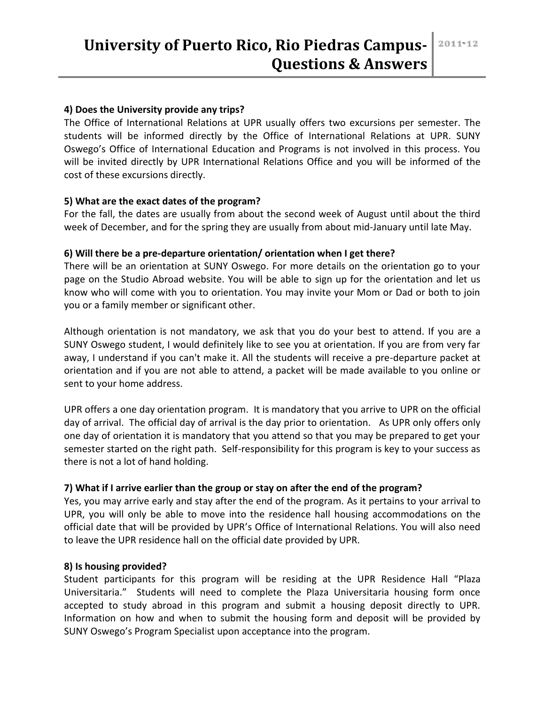# **University of Puerto Rico, Rio Piedras Campus-Questions & Answers**

#### **4) Does the University provide any trips?**

The Office of International Relations at UPR usually offers two excursions per semester. The students will be informed directly by the Office of International Relations at UPR. SUNY Oswego's Office of International Education and Programs is not involved in this process. You will be invited directly by UPR International Relations Office and you will be informed of the cost of these excursions directly.

#### **5) What are the exact dates of the program?**

For the fall, the dates are usually from about the second week of August until about the third week of December, and for the spring they are usually from about mid-January until late May.

### **6) Will there be a pre-departure orientation/ orientation when I get there?**

There will be an orientation at SUNY Oswego. For more details on the orientation go to your page on the Studio Abroad website. You will be able to sign up for the orientation and let us know who will come with you to orientation. You may invite your Mom or Dad or both to join you or a family member or significant other.

Although orientation is not mandatory, we ask that you do your best to attend. If you are a SUNY Oswego student, I would definitely like to see you at orientation. If you are from very far away, I understand if you can't make it. All the students will receive a pre-departure packet at orientation and if you are not able to attend, a packet will be made available to you online or sent to your home address.

UPR offers a one day orientation program. It is mandatory that you arrive to UPR on the official day of arrival. The official day of arrival is the day prior to orientation. As UPR only offers only one day of orientation it is mandatory that you attend so that you may be prepared to get your semester started on the right path. Self-responsibility for this program is key to your success as there is not a lot of hand holding.

# **7) What if I arrive earlier than the group or stay on after the end of the program?**

Yes, you may arrive early and stay after the end of the program. As it pertains to your arrival to UPR, you will only be able to move into the residence hall housing accommodations on the official date that will be provided by UPR's Office of International Relations. You will also need to leave the UPR residence hall on the official date provided by UPR.

#### **8) Is housing provided?**

Student participants for this program will be residing at the UPR Residence Hall "Plaza Universitaria." Students will need to complete the Plaza Universitaria housing form once accepted to study abroad in this program and submit a housing deposit directly to UPR. Information on how and when to submit the housing form and deposit will be provided by SUNY Oswego's Program Specialist upon acceptance into the program.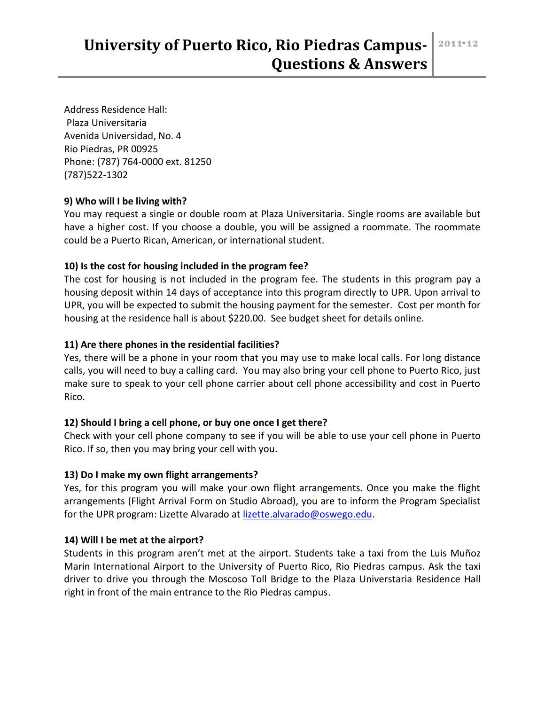Address Residence Hall: Plaza Universitaria Avenida Universidad, No. 4 Rio Piedras, PR 00925 Phone: (787) 764-0000 ext. 81250 (787)522-1302

# **9) Who will I be living with?**

You may request a single or double room at Plaza Universitaria. Single rooms are available but have a higher cost. If you choose a double, you will be assigned a roommate. The roommate could be a Puerto Rican, American, or international student.

# **10) Is the cost for housing included in the program fee?**

The cost for housing is not included in the program fee. The students in this program pay a housing deposit within 14 days of acceptance into this program directly to UPR. Upon arrival to UPR, you will be expected to submit the housing payment for the semester. Cost per month for housing at the residence hall is about \$220.00. See budget sheet for details online.

# **11) Are there phones in the residential facilities?**

Yes, there will be a phone in your room that you may use to make local calls. For long distance calls, you will need to buy a calling card. You may also bring your cell phone to Puerto Rico, just make sure to speak to your cell phone carrier about cell phone accessibility and cost in Puerto Rico.

# **12) Should I bring a cell phone, or buy one once I get there?**

Check with your cell phone company to see if you will be able to use your cell phone in Puerto Rico. If so, then you may bring your cell with you.

# **13) Do I make my own flight arrangements?**

Yes, for this program you will make your own flight arrangements. Once you make the flight arrangements (Flight Arrival Form on Studio Abroad), you are to inform the Program Specialist for the UPR program: Lizette Alvarado at [lizette.alvarado@oswego.edu.](mailto:lizette.alvarado@oswego.edu)

# **14) Will I be met at the airport?**

Students in this program aren't met at the airport. Students take a taxi from the Luis Muñoz Marin International Airport to the University of Puerto Rico, Rio Piedras campus. Ask the taxi driver to drive you through the Moscoso Toll Bridge to the Plaza Universtaria Residence Hall right in front of the main entrance to the Rio Piedras campus.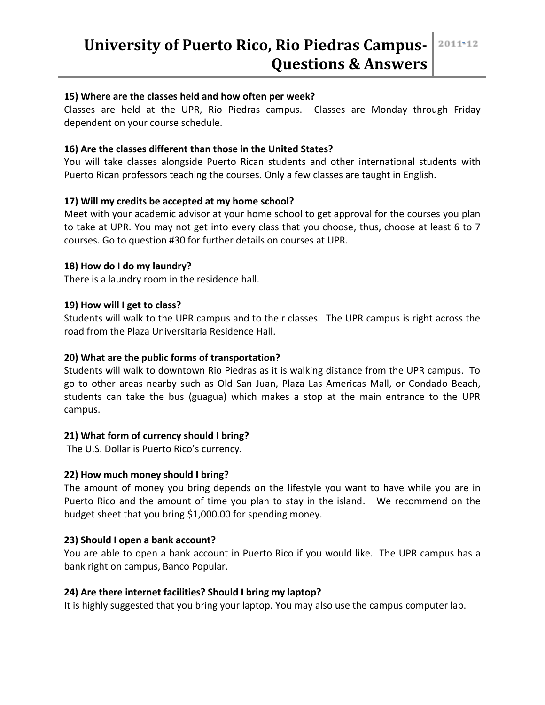#### **15) Where are the classes held and how often per week?**

Classes are held at the UPR, Rio Piedras campus. Classes are Monday through Friday dependent on your course schedule.

# **16) Are the classes different than those in the United States?**

You will take classes alongside Puerto Rican students and other international students with Puerto Rican professors teaching the courses. Only a few classes are taught in English.

# **17) Will my credits be accepted at my home school?**

Meet with your academic advisor at your home school to get approval for the courses you plan to take at UPR. You may not get into every class that you choose, thus, choose at least 6 to 7 courses. Go to question #30 for further details on courses at UPR.

# **18) How do I do my laundry?**

There is a laundry room in the residence hall.

### **19) How will I get to class?**

Students will walk to the UPR campus and to their classes. The UPR campus is right across the road from the Plaza Universitaria Residence Hall.

### **20) What are the public forms of transportation?**

Students will walk to downtown Rio Piedras as it is walking distance from the UPR campus. To go to other areas nearby such as Old San Juan, Plaza Las Americas Mall, or Condado Beach, students can take the bus (guagua) which makes a stop at the main entrance to the UPR campus.

# **21) What form of currency should I bring?**

The U.S. Dollar is Puerto Rico's currency.

# **22) How much money should I bring?**

The amount of money you bring depends on the lifestyle you want to have while you are in Puerto Rico and the amount of time you plan to stay in the island. We recommend on the budget sheet that you bring \$1,000.00 for spending money.

# **23) Should I open a bank account?**

You are able to open a bank account in Puerto Rico if you would like. The UPR campus has a bank right on campus, Banco Popular.

#### **24) Are there internet facilities? Should I bring my laptop?**

It is highly suggested that you bring your laptop. You may also use the campus computer lab.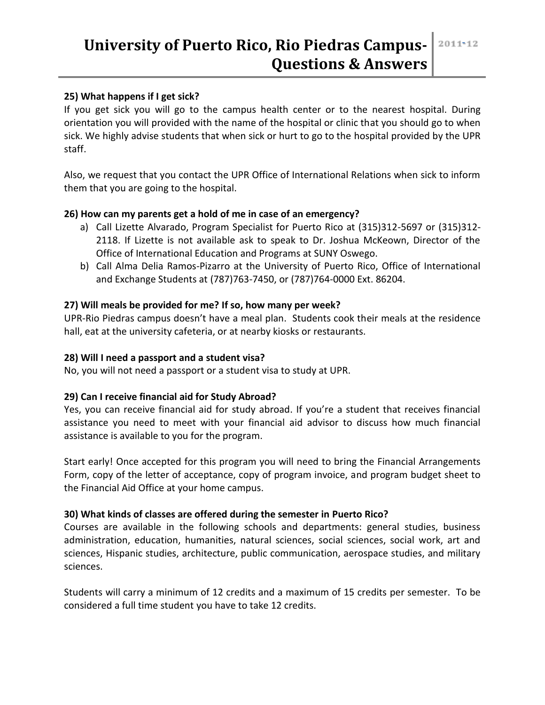# **University of Puerto Rico, Rio Piedras Campus-Questions & Answers**

### **25) What happens if I get sick?**

If you get sick you will go to the campus health center or to the nearest hospital. During orientation you will provided with the name of the hospital or clinic that you should go to when sick. We highly advise students that when sick or hurt to go to the hospital provided by the UPR staff.

Also, we request that you contact the UPR Office of International Relations when sick to inform them that you are going to the hospital.

#### **26) How can my parents get a hold of me in case of an emergency?**

- a) Call Lizette Alvarado, Program Specialist for Puerto Rico at (315)312-5697 or (315)312- 2118. If Lizette is not available ask to speak to Dr. Joshua McKeown, Director of the Office of International Education and Programs at SUNY Oswego.
- b) Call Alma Delia Ramos-Pizarro at the University of Puerto Rico, Office of International and Exchange Students at (787)763-7450, or (787)764-0000 Ext. 86204.

### **27) Will meals be provided for me? If so, how many per week?**

UPR-Rio Piedras campus doesn't have a meal plan. Students cook their meals at the residence hall, eat at the university cafeteria, or at nearby kiosks or restaurants.

#### **28) Will I need a passport and a student visa?**

No, you will not need a passport or a student visa to study at UPR.

# **29) Can I receive financial aid for Study Abroad?**

Yes, you can receive financial aid for study abroad. If you're a student that receives financial assistance you need to meet with your financial aid advisor to discuss how much financial assistance is available to you for the program.

Start early! Once accepted for this program you will need to bring the Financial Arrangements Form, copy of the letter of acceptance, copy of program invoice, and program budget sheet to the Financial Aid Office at your home campus.

#### **30) What kinds of classes are offered during the semester in Puerto Rico?**

Courses are available in the following schools and departments: general studies, business administration, education, humanities, natural sciences, social sciences, social work, art and sciences, Hispanic studies, architecture, public communication, aerospace studies, and military sciences.

Students will carry a minimum of 12 credits and a maximum of 15 credits per semester. To be considered a full time student you have to take 12 credits.